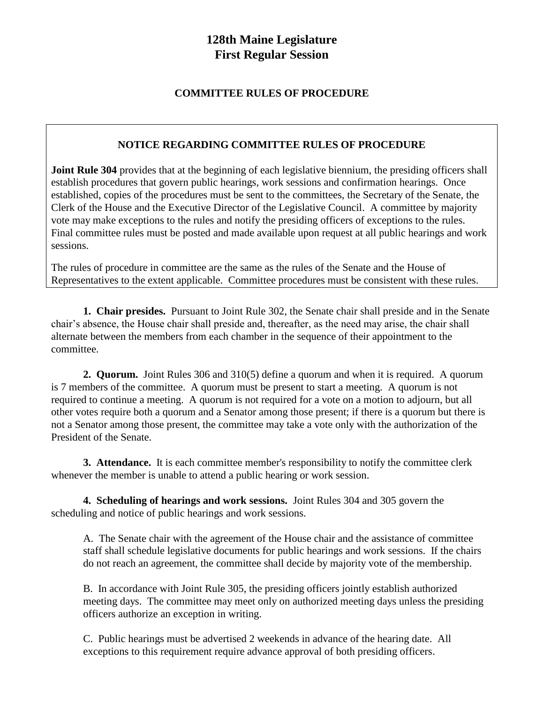# **128th Maine Legislature First Regular Session**

## **COMMITTEE RULES OF PROCEDURE**

### **NOTICE REGARDING COMMITTEE RULES OF PROCEDURE**

**Joint Rule 304** provides that at the beginning of each legislative biennium, the presiding officers shall establish procedures that govern public hearings, work sessions and confirmation hearings. Once established, copies of the procedures must be sent to the committees, the Secretary of the Senate, the Clerk of the House and the Executive Director of the Legislative Council. A committee by majority vote may make exceptions to the rules and notify the presiding officers of exceptions to the rules. Final committee rules must be posted and made available upon request at all public hearings and work sessions.

The rules of procedure in committee are the same as the rules of the Senate and the House of Representatives to the extent applicable. Committee procedures must be consistent with these rules.

**1. Chair presides.** Pursuant to Joint Rule 302, the Senate chair shall preside and in the Senate chair's absence, the House chair shall preside and, thereafter, as the need may arise, the chair shall alternate between the members from each chamber in the sequence of their appointment to the committee.

**2. Quorum.** Joint Rules 306 and 310(5) define a quorum and when it is required. A quorum is 7 members of the committee. A quorum must be present to start a meeting. A quorum is not required to continue a meeting. A quorum is not required for a vote on a motion to adjourn, but all other votes require both a quorum and a Senator among those present; if there is a quorum but there is not a Senator among those present, the committee may take a vote only with the authorization of the President of the Senate.

**3. Attendance.** It is each committee member's responsibility to notify the committee clerk whenever the member is unable to attend a public hearing or work session.

**4. Scheduling of hearings and work sessions.** Joint Rules 304 and 305 govern the scheduling and notice of public hearings and work sessions.

A. The Senate chair with the agreement of the House chair and the assistance of committee staff shall schedule legislative documents for public hearings and work sessions. If the chairs do not reach an agreement, the committee shall decide by majority vote of the membership.

B. In accordance with Joint Rule 305, the presiding officers jointly establish authorized meeting days. The committee may meet only on authorized meeting days unless the presiding officers authorize an exception in writing.

C. Public hearings must be advertised 2 weekends in advance of the hearing date. All exceptions to this requirement require advance approval of both presiding officers.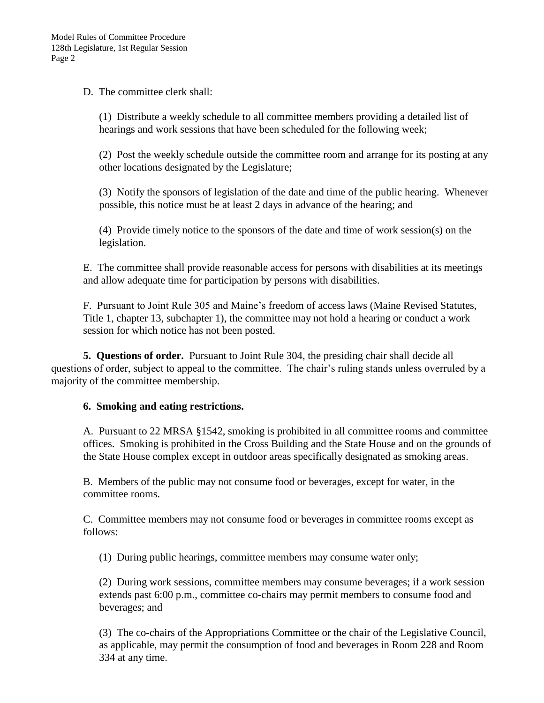D. The committee clerk shall:

(1) Distribute a weekly schedule to all committee members providing a detailed list of hearings and work sessions that have been scheduled for the following week;

(2) Post the weekly schedule outside the committee room and arrange for its posting at any other locations designated by the Legislature;

(3) Notify the sponsors of legislation of the date and time of the public hearing. Whenever possible, this notice must be at least 2 days in advance of the hearing; and

(4) Provide timely notice to the sponsors of the date and time of work session(s) on the legislation.

E. The committee shall provide reasonable access for persons with disabilities at its meetings and allow adequate time for participation by persons with disabilities.

F. Pursuant to Joint Rule 305 and Maine's freedom of access laws (Maine Revised Statutes, Title 1, chapter 13, subchapter 1), the committee may not hold a hearing or conduct a work session for which notice has not been posted.

**5. Questions of order.** Pursuant to Joint Rule 304, the presiding chair shall decide all questions of order, subject to appeal to the committee. The chair's ruling stands unless overruled by a majority of the committee membership.

### **6. Smoking and eating restrictions.**

A. Pursuant to 22 MRSA §1542, smoking is prohibited in all committee rooms and committee offices. Smoking is prohibited in the Cross Building and the State House and on the grounds of the State House complex except in outdoor areas specifically designated as smoking areas.

B. Members of the public may not consume food or beverages, except for water, in the committee rooms.

C. Committee members may not consume food or beverages in committee rooms except as follows:

(1) During public hearings, committee members may consume water only;

(2) During work sessions, committee members may consume beverages; if a work session extends past 6:00 p.m., committee co-chairs may permit members to consume food and beverages; and

(3) The co-chairs of the Appropriations Committee or the chair of the Legislative Council, as applicable, may permit the consumption of food and beverages in Room 228 and Room 334 at any time.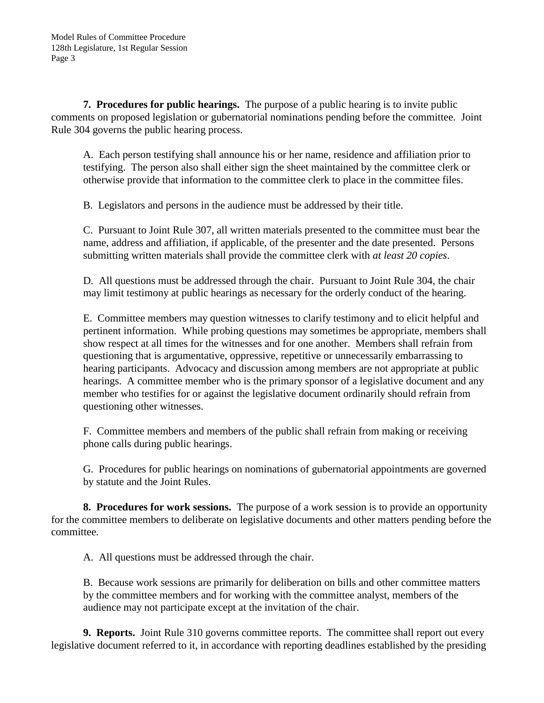**7. Procedures for public hearings.** The purpose of a public hearing is to invite public comments on proposed legislation or gubernatorial nominations pending before the committee. Joint Rule 304 governs the public hearing process.

A. Each person testifying shall announce his or her name, residence and affiliation prior to testifying. The person also shall either sign the sheet maintained by the committee clerk or otherwise provide that information to the committee clerk to place in the committee files.

B. Legislators and persons in the audience must be addressed by their title.

C. Pursuant to Joint Rule 307, all written materials presented to the committee must bear the name, address and affiliation, if applicable, of the presenter and the date presented. Persons submitting written materials shall provide the committee clerk with *at least 20 copies*.

D. All questions must be addressed through the chair. Pursuant to Joint Rule 304, the chair may limit testimony at public hearings as necessary for the orderly conduct of the hearing.

E. Committee members may question witnesses to clarify testimony and to elicit helpful and pertinent information. While probing questions may sometimes be appropriate, members shall show respect at all times for the witnesses and for one another. Members shall refrain from questioning that is argumentative, oppressive, repetitive or unnecessarily embarrassing to hearing participants. Advocacy and discussion among members are not appropriate at public hearings. A committee member who is the primary sponsor of a legislative document and any member who testifies for or against the legislative document ordinarily should refrain from questioning other witnesses.

F. Committee members and members of the public shall refrain from making or receiving phone calls during public hearings.

G. Procedures for public hearings on nominations of gubernatorial appointments are governed by statute and the Joint Rules.

**8. Procedures for work sessions.** The purpose of a work session is to provide an opportunity for the committee members to deliberate on legislative documents and other matters pending before the committee.

A. All questions must be addressed through the chair.

B. Because work sessions are primarily for deliberation on bills and other committee matters by the committee members and for working with the committee analyst, members of the audience may not participate except at the invitation of the chair.

**9. Reports.** Joint Rule 310 governs committee reports. The committee shall report out every legislative document referred to it, in accordance with reporting deadlines established by the presiding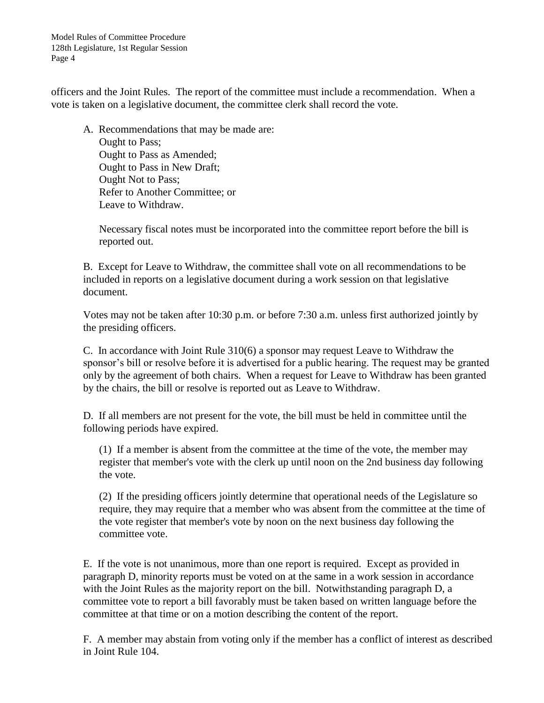Model Rules of Committee Procedure 128th Legislature, 1st Regular Session Page 4

officers and the Joint Rules. The report of the committee must include a recommendation. When a vote is taken on a legislative document, the committee clerk shall record the vote.

A. Recommendations that may be made are: Ought to Pass; Ought to Pass as Amended; Ought to Pass in New Draft; Ought Not to Pass; Refer to Another Committee; or Leave to Withdraw.

Necessary fiscal notes must be incorporated into the committee report before the bill is reported out.

B. Except for Leave to Withdraw, the committee shall vote on all recommendations to be included in reports on a legislative document during a work session on that legislative document.

Votes may not be taken after 10:30 p.m. or before 7:30 a.m. unless first authorized jointly by the presiding officers.

C. In accordance with Joint Rule 310(6) a sponsor may request Leave to Withdraw the sponsor's bill or resolve before it is advertised for a public hearing. The request may be granted only by the agreement of both chairs. When a request for Leave to Withdraw has been granted by the chairs, the bill or resolve is reported out as Leave to Withdraw.

D. If all members are not present for the vote, the bill must be held in committee until the following periods have expired.

(1) If a member is absent from the committee at the time of the vote, the member may register that member's vote with the clerk up until noon on the 2nd business day following the vote.

(2) If the presiding officers jointly determine that operational needs of the Legislature so require, they may require that a member who was absent from the committee at the time of the vote register that member's vote by noon on the next business day following the committee vote.

E. If the vote is not unanimous, more than one report is required. Except as provided in paragraph D, minority reports must be voted on at the same in a work session in accordance with the Joint Rules as the majority report on the bill. Notwithstanding paragraph D, a committee vote to report a bill favorably must be taken based on written language before the committee at that time or on a motion describing the content of the report.

F. A member may abstain from voting only if the member has a conflict of interest as described in Joint Rule 104.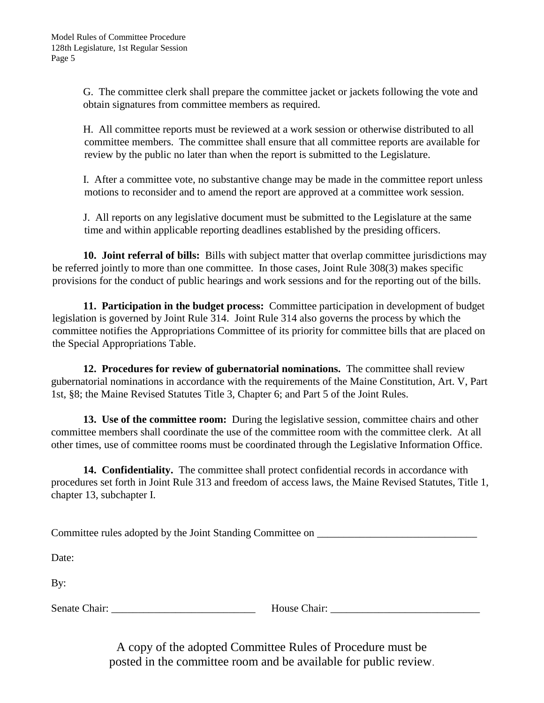G. The committee clerk shall prepare the committee jacket or jackets following the vote and obtain signatures from committee members as required.

H. All committee reports must be reviewed at a work session or otherwise distributed to all committee members. The committee shall ensure that all committee reports are available for review by the public no later than when the report is submitted to the Legislature.

I. After a committee vote, no substantive change may be made in the committee report unless motions to reconsider and to amend the report are approved at a committee work session.

J. All reports on any legislative document must be submitted to the Legislature at the same time and within applicable reporting deadlines established by the presiding officers.

**10. Joint referral of bills:** Bills with subject matter that overlap committee jurisdictions may be referred jointly to more than one committee. In those cases, Joint Rule 308(3) makes specific provisions for the conduct of public hearings and work sessions and for the reporting out of the bills.

**11. Participation in the budget process:** Committee participation in development of budget legislation is governed by Joint Rule 314. Joint Rule 314 also governs the process by which the committee notifies the Appropriations Committee of its priority for committee bills that are placed on the Special Appropriations Table.

**12. Procedures for review of gubernatorial nominations.** The committee shall review gubernatorial nominations in accordance with the requirements of the Maine Constitution, Art. V, Part 1st, §8; the Maine Revised Statutes Title 3, Chapter 6; and Part 5 of the Joint Rules.

**13. Use of the committee room:** During the legislative session, committee chairs and other committee members shall coordinate the use of the committee room with the committee clerk. At all other times, use of committee rooms must be coordinated through the Legislative Information Office.

**14. Confidentiality.** The committee shall protect confidential records in accordance with procedures set forth in Joint Rule 313 and freedom of access laws, the Maine Revised Statutes, Title 1, chapter 13, subchapter I.

Committee rules adopted by the Joint Standing Committee on \_\_\_\_\_\_\_\_\_\_\_\_\_\_\_\_\_\_\_\_\_

Date:

By:

Senate Chair: **Example 2.1 Senate Chair: House Chair:**  $\overline{a}$ 

A copy of the adopted Committee Rules of Procedure must be posted in the committee room and be available for public review.